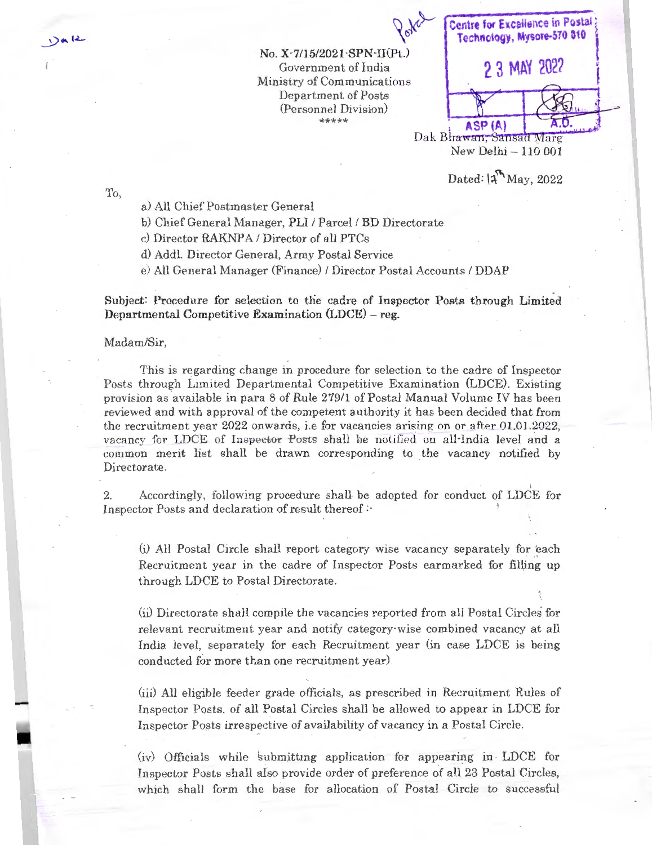**No. X-7/15/2021-SPN-II(Pt.)**  Government of India Ministry of Communications Department of Posts (Personnel Division) \*\*\*

 $\chi$ <br> **Centre for Excalience in Postal 1988 2 3 MAY 202?** I Dak Bhawan, Sansad Marg New Delhi - 110 001

Dated:  $|$ <sup>n</sup>May, 2022

To,

 $2aR$ 

a) All Chief Postmaster General

b) Chief General Manager, PLI / Parcel / BD Directorate

c) Director RAKNPA / Director of all PTCs

d) Addl. Director General, Army Postal Service

e) All General Manager (Finance) / Director Postal Accounts / DDAP

Subject: Procedure for selection to the cadre of Inspector Posts through Limited Departmental Competitive Examination (LDCE) - reg.

## Madam/Sir,

This is regarding change in procedure for selection to the cadre of Inspector Posts through Limited Departmental Competitive Examination (LDCE). Existing provision as available in para 8 of Rule 279/1 of Postal Manual Volume IV has been reviewed and with approval of the competent authority it has been decided that from the recruitment year 2022 onwards, i.e for vacancies arising on or after  $01.01.2022$ . vacancy for LDCE of Inspector Posts shall be notified on all-India level and a common merit list shall be drawn corresponding to the vacancy notified by Directorate.

2. Accordingly, following procedure shall- be adopted for conduct of LDCE for Inspector Posts and declaration of result thereof:

(i) All Postal Circle shall report category wise vacancy separately for each Recruitment year in the cadre of Inspector Posts earmarked for filling up through LDCE to Postal Directorate .

(ii) Directorate shall compile the vacancies reported from all Postal Circles for relevant recruitment year and notify category-wise combined vacancy at all India level, separately for each Recruitment year (in case LDCE is being conducted for more than one recruitment year).

(iii) All eligible feeder grade officials, as prescribed in Recruitment Rules of Inspector Posts, of all Postal Circles shall be allowed to appear in LDCE for Inspector Posts irrespective of availability of vacancy in a Postal Circle.

(iv) Officials while submitting application for appearing in LDCE for Inspector Posts shall also provide order of preference of all 23 Postal Circles, which shall form the base for allocation of Postal Circle to successful